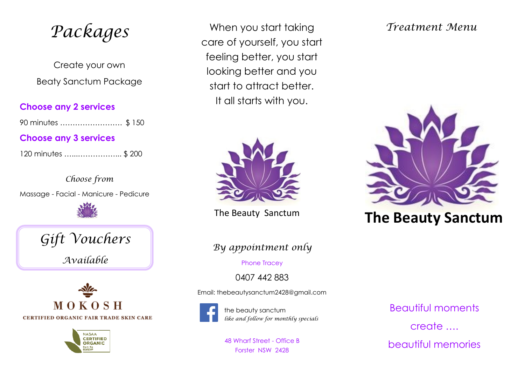*Packages*

Create your own Beaty Sanctum Package

#### **Choose any 2 services**

90 minutes ……………………. \$ 150

# **Choose any 3 services**

| 120 minutes \$ 200 |  |
|--------------------|--|
|--------------------|--|

*Choose from* Massage - Facial - Manicure - Pedicure



*Gift Vouchers Available*





When you start taking care of yourself, you start feeling better, you start looking better and you start to attract better. It all starts with you.



The Beauty Sanctum

*By appointment only*

Phone Tracey

0407 442 883

Email: thebeautysanctum2428@gmail.com



the beauty sanctum *like and follow for monthly specials*

48 Wharf Street - Office B Forster NSW 2428

# *Treatment Menu*



# **The Beauty Sanctum**

Beautiful moments create …. beautiful memories